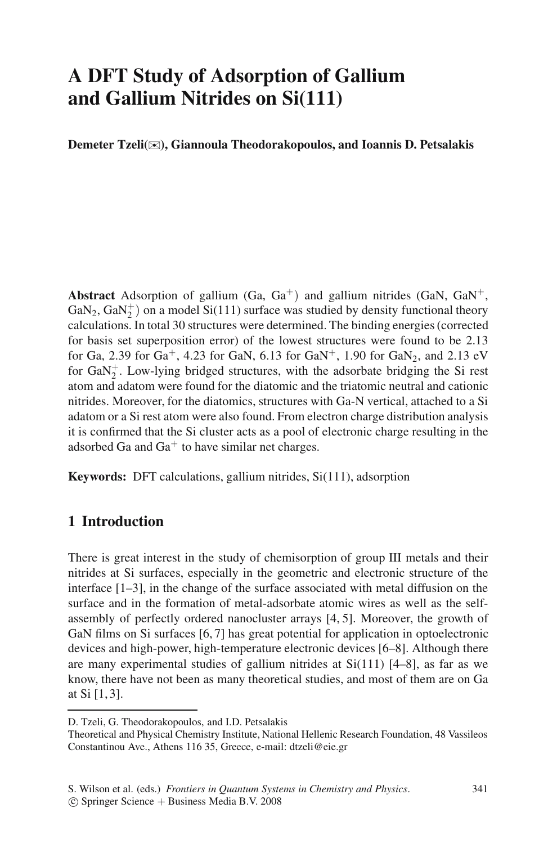## **A DFT Study of Adsorption of Gallium and Gallium Nitrides on Si(111)**

**Demeter Tzeli(**✉**), Giannoula Theodorakopoulos, and Ioannis D. Petsalakis**

**Abstract** Adsorption of gallium (Ga,  $Ga^{+}$ ) and gallium nitrides (GaN,  $GaN^{+}$ , GaN<sub>2</sub>, GaN<sub>2</sub><sup>+</sup>) on a model Si(111) surface was studied by density functional theory calculations. In total 30 structures were determined. The binding energies (corrected for basis set superposition error) of the lowest structures were found to be 2.13 for Ga, 2.39 for Ga<sup>+</sup>, 4.23 for GaN, 6.13 for GaN<sup>+</sup>, 1.90 for GaN<sub>2</sub>, and 2.13 eV for  $GaN_2^+$ . Low-lying bridged structures, with the adsorbate bridging the Si rest atom and adatom were found for the diatomic and the triatomic neutral and cationic nitrides. Moreover, for the diatomics, structures with Ga-N vertical, attached to a Si adatom or a Si rest atom were also found. From electron charge distribution analysis it is confirmed that the Si cluster acts as a pool of electronic charge resulting in the adsorbed Ga and  $Ga<sup>+</sup>$  to have similar net charges.

**Keywords:** DFT calculations, gallium nitrides, Si(111), adsorption

## **1 Introduction**

There is great interest in the study of chemisorption of group III metals and their nitrides at Si surfaces, especially in the geometric and electronic structure of the interface [1–3], in the change of the surface associated with metal diffusion on the surface and in the formation of metal-adsorbate atomic wires as well as the selfassembly of perfectly ordered nanocluster arrays [4, 5]. Moreover, the growth of GaN films on Si surfaces [6, 7] has great potential for application in optoelectronic devices and high-power, high-temperature electronic devices [6–8]. Although there are many experimental studies of gallium nitrides at  $Si(111)$   $[4–8]$ , as far as we know, there have not been as many theoretical studies, and most of them are on Ga at Si [1, 3].

c Springer Science + Business Media B.V. 2008

D. Tzeli, G. Theodorakopoulos, and I.D. Petsalakis

Theoretical and Physical Chemistry Institute, National Hellenic Research Foundation, 48 Vassileos Constantinou Ave., Athens 116 35, Greece, e-mail: dtzeli@eie.gr

S. Wilson et al. (eds.) *Frontiers in Quantum Systems in Chemistry and Physics*.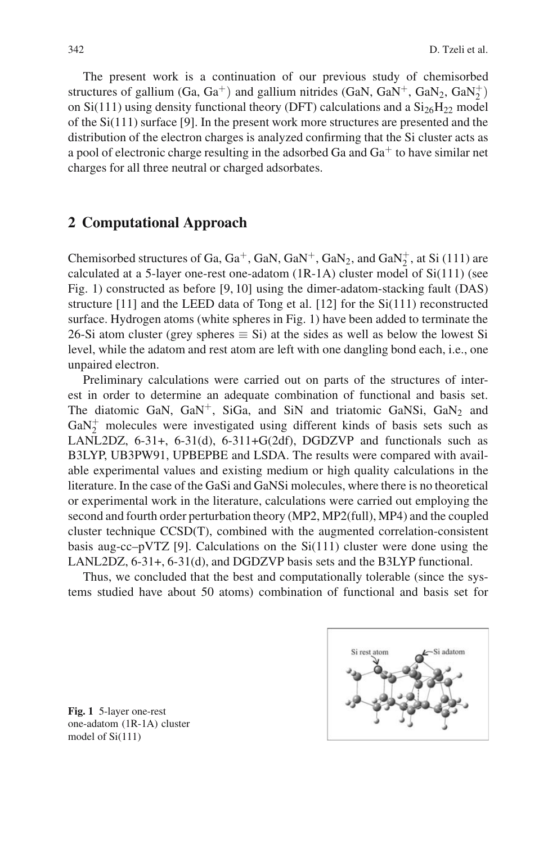The present work is a continuation of our previous study of chemisorbed structures of gallium (Ga, Ga<sup>+</sup>) and gallium nitrides (GaN, GaN<sup>+</sup>, GaN<sub>2</sub>, GaN<sup>+</sup><sub>2</sub>) on  $Si(111)$  using density functional theory (DFT) calculations and a  $Si<sub>26</sub>H<sub>22</sub>$  model of the Si(111) surface [9]. In the present work more structures are presented and the distribution of the electron charges is analyzed confirming that the Si cluster acts as a pool of electronic charge resulting in the adsorbed Ga and  $Ga<sup>+</sup>$  to have similar net charges for all three neutral or charged adsorbates.

#### **2 Computational Approach**

Chemisorbed structures of Ga,  $Ga^+$ ,  $GaN$ ,  $GaN^+$ ,  $GaN_2$ , and  $GaN_2^+$ , at Si (111) are calculated at a 5-layer one-rest one-adatom  $(1R-1A)$  cluster model of  $Si(111)$  (see Fig. 1) constructed as before [9, 10] using the dimer-adatom-stacking fault (DAS) structure [11] and the LEED data of Tong et al. [12] for the Si(111) reconstructed surface. Hydrogen atoms (white spheres in Fig. 1) have been added to terminate the 26-Si atom cluster (grey spheres  $\equiv$  Si) at the sides as well as below the lowest Si level, while the adatom and rest atom are left with one dangling bond each, i.e., one unpaired electron.

Preliminary calculations were carried out on parts of the structures of interest in order to determine an adequate combination of functional and basis set. The diatomic GaN,  $GaN^+$ , SiGa, and SiN and triatomic GaNSi,  $GaN_2$  and  $GaN_2^+$  molecules were investigated using different kinds of basis sets such as LANL2DZ,  $6-31+$ ,  $6-31(d)$ ,  $6-311+G(2df)$ , DGDZVP and functionals such as B3LYP, UB3PW91, UPBEPBE and LSDA. The results were compared with available experimental values and existing medium or high quality calculations in the literature. In the case of the GaSi and GaNSi molecules, where there is no theoretical or experimental work in the literature, calculations were carried out employing the second and fourth order perturbation theory (MP2, MP2(full), MP4) and the coupled cluster technique  $CCSD(T)$ , combined with the augmented correlation-consistent basis aug-cc–pVTZ [9]. Calculations on the  $Si(111)$  cluster were done using the LANL2DZ, 6-31+, 6-31(d), and DGDZVP basis sets and the B3LYP functional.

Thus, we concluded that the best and computationally tolerable (since the systems studied have about 50 atoms) combination of functional and basis set for



**Fig. 1** 5-layer one-rest one-adatom (1R-1A) cluster model of Si(111)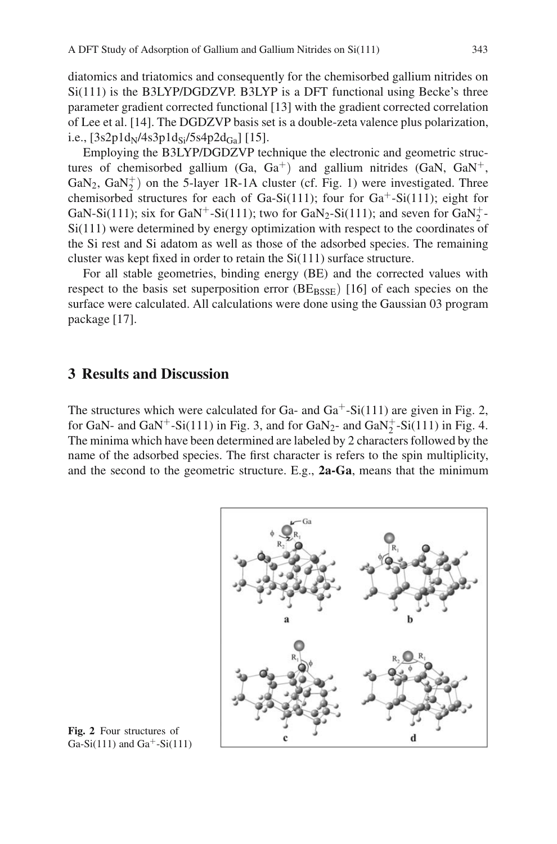diatomics and triatomics and consequently for the chemisorbed gallium nitrides on  $Si(111)$  is the B3LYP/DGDZVP. B3LYP is a DFT functional using Becke's three parameter gradient corrected functional [13] with the gradient corrected correlation of Lee et al. [14]. The DGDZVP basis set is a double-zeta valence plus polarization, i.e.,  $[3s2p1d_N/4s3p1d_{Si}/5s4p2d_{Ga}$  [15].

Employing the B3LYP/DGDZVP technique the electronic and geometric structures of chemisorbed gallium (Ga,  $Ga^{+}$ ) and gallium nitrides (GaN,  $Ga^{+}$ ), GaN<sub>2</sub>, GaN<sub>2</sub><sup>+</sup>) on the 5-layer 1R-1A cluster (cf. Fig. 1) were investigated. Three chemisorbed structures for each of Ga-Si(111); four for  $Ga^+$ -Si(111); eight for GaN-Si(111); six for GaN<sup>+</sup>-Si(111); two for GaN<sub>2</sub>-Si(111); and seven for GaN<sub>2</sub><sup>+</sup>  $Si(111)$  were determined by energy optimization with respect to the coordinates of the Si rest and Si adatom as well as those of the adsorbed species. The remaining cluster was kept fixed in order to retain the Si(111) surface structure.

For all stable geometries, binding energy (BE) and the corrected values with respect to the basis set superposition error  $(BE_{\text{BSSE}})$  [16] of each species on the surface were calculated. All calculations were done using the Gaussian 03 program package [17].

### **3 Results and Discussion**

The structures which were calculated for Ga- and  $Ga^+$ -Si(111) are given in Fig. 2, for GaN- and GaN<sup>+</sup>-Si(111) in Fig. 3, and for GaN<sub>2</sub>- and GaN<sub>2</sub><sup>+</sup>-Si(111) in Fig. 4. The minima which have been determined are labeled by 2 characters followed by the name of the adsorbed species. The first character is refers to the spin multiplicity, and the second to the geometric structure. E.g., **2a-Ga**, means that the minimum



**Fig. 2** Four structures of Ga-Si(111) and Ga<sup>+</sup>-Si(111)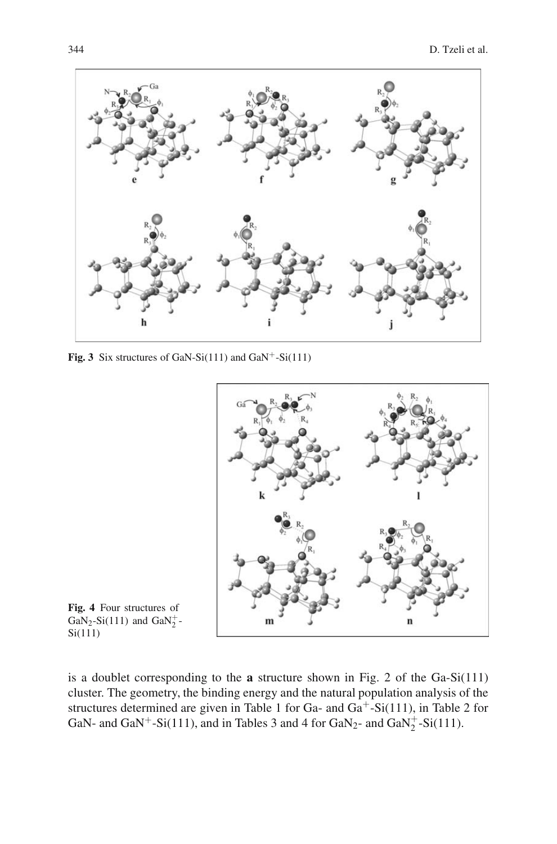

**Fig. 3** Six structures of GaN-Si(111) and GaN<sup>+</sup>-Si(111)



**Fig. 4** Four structures of  $GaN_2-Si(111)$  and  $GaN_2^+$ -Si(111)

is a doublet corresponding to the **a** structure shown in Fig. 2 of the Ga-Si(111) cluster. The geometry, the binding energy and the natural population analysis of the structures determined are given in Table 1 for Ga- and Ga+-Si(111), in Table 2 for GaN- and GaN<sup>+</sup>-Si(111), and in Tables 3 and 4 for GaN<sub>2</sub>- and GaN<sub>2</sub><sup>+</sup>-Si(111).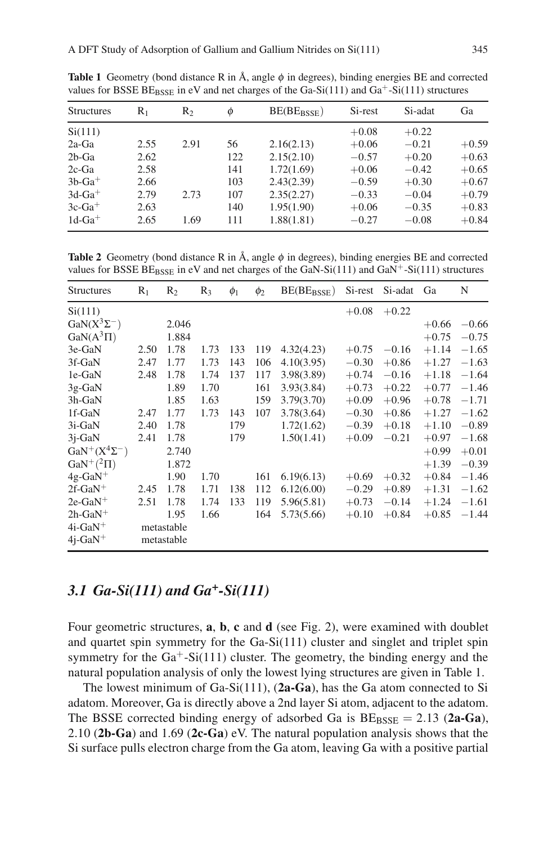| <b>Structures</b> | $R_1$ | R <sub>2</sub> | $\phi$ | $BE(BE_{BSSE})$ | Si-rest | Si-adat | Ga      |
|-------------------|-------|----------------|--------|-----------------|---------|---------|---------|
| Si(111)           |       |                |        |                 | $+0.08$ | $+0.22$ |         |
| $2a-Ga$           | 2.55  | 2.91           | 56     | 2.16(2.13)      | $+0.06$ | $-0.21$ | $+0.59$ |
| $2b-Ga$           | 2.62  |                | 122    | 2.15(2.10)      | $-0.57$ | $+0.20$ | $+0.63$ |
| $2c$ -Ga          | 2.58  |                | 141    | 1.72(1.69)      | $+0.06$ | $-0.42$ | $+0.65$ |
| $3b-Ga^+$         | 2.66  |                | 103    | 2.43(2.39)      | $-0.59$ | $+0.30$ | $+0.67$ |
| $3d-Ga^+$         | 2.79  | 2.73           | 107    | 2.35(2.27)      | $-0.33$ | $-0.04$ | $+0.79$ |
| $3c-Ga^+$         | 2.63  |                | 140    | 1.95(1.90)      | $+0.06$ | $-0.35$ | $+0.83$ |
| $1d-Ga^+$         | 2.65  | 1.69           | 111    | 1.88(1.81)      | $-0.27$ | $-0.08$ | $+0.84$ |

**Table 1** Geometry (bond distance R in  $\hat{A}$ , angle  $\phi$  in degrees), binding energies BE and corrected values for BSSE BE $_{\rm BSSE}$  in eV and net charges of the Ga-Si(111) and Ga<sup>+</sup>-Si(111) structures

**Table 2** Geometry (bond distance R in Å, angle  $\phi$  in degrees), binding energies BE and corrected values for BSSE BE $_{\rm BSSE}$  in eV and net charges of the GaN-Si(111) and GaN<sup>+</sup>-Si(111) structures

| <b>Structures</b>     | $R_1$ | $R_2$      | $R_3$ | $\phi_1$ | $\phi_2$ | $BE(BE_{BSSE})$ | Si-rest | Si-adat | Ga      | N       |
|-----------------------|-------|------------|-------|----------|----------|-----------------|---------|---------|---------|---------|
| Si(111)               |       |            |       |          |          |                 | $+0.08$ | $+0.22$ |         |         |
| $GaN(X^3\Sigma^-)$    |       | 2.046      |       |          |          |                 |         |         | $+0.66$ | $-0.66$ |
| $GaN(A^3\Pi)$         |       | 1.884      |       |          |          |                 |         |         | $+0.75$ | $-0.75$ |
| 3e-GaN                | 2.50  | 1.78       | 1.73  | 133      | 119      | 4.32(4.23)      | $+0.75$ | $-0.16$ | $+1.14$ | $-1.65$ |
| 3f-GaN                | 2.47  | 1.77       | 1.73  | 143      | 106      | 4.10(3.95)      | $-0.30$ | $+0.86$ | $+1.27$ | $-1.63$ |
| 1e-GaN                | 2.48  | 1.78       | 1.74  | 137      | 117      | 3.98(3.89)      | $+0.74$ | $-0.16$ | $+1.18$ | $-1.64$ |
| $3g-GaN$              |       | 1.89       | 1.70  |          | 161      | 3.93(3.84)      | $+0.73$ | $+0.22$ | $+0.77$ | $-1.46$ |
| 3h-GaN                |       | 1.85       | 1.63  |          | 159      | 3.79(3.70)      | $+0.09$ | $+0.96$ | $+0.78$ | $-1.71$ |
| 1f-GaN                | 2.47  | 1.77       | 1.73  | 143      | 107      | 3.78(3.64)      | $-0.30$ | $+0.86$ | $+1.27$ | $-1.62$ |
| 3i-GaN                | 2.40  | 1.78       |       | 179      |          | 1.72(1.62)      | $-0.39$ | $+0.18$ | $+1.10$ | $-0.89$ |
| $3j-GaN$              | 2.41  | 1.78       |       | 179      |          | 1.50(1.41)      | $+0.09$ | $-0.21$ | $+0.97$ | $-1.68$ |
| $GaN^+(X^4\Sigma^-)$  |       | 2.740      |       |          |          |                 |         |         | $+0.99$ | $+0.01$ |
| $\text{GaN}^+(^2\Pi)$ |       | 1.872      |       |          |          |                 |         |         | $+1.39$ | $-0.39$ |
| $4g-GaN$ <sup>+</sup> |       | 1.90       | 1.70  |          | 161      | 6.19(6.13)      | $+0.69$ | $+0.32$ | $+0.84$ | $-1.46$ |
| $2f-GaN$ <sup>+</sup> | 2.45  | 1.78       | 1.71  | 138      | 112      | 6.12(6.00)      | $-0.29$ | $+0.89$ | $+1.31$ | $-1.62$ |
| $2e-GaN^+$            | 2.51  | 1.78       | 1.74  | 133      | 119      | 5.96(5.81)      | $+0.73$ | $-0.14$ | $+1.24$ | $-1.61$ |
| $2h-GaN$ <sup>+</sup> |       | 1.95       | 1.66  |          | 164      | 5.73(5.66)      | $+0.10$ | $+0.84$ | $+0.85$ | $-1.44$ |
| $4i-GaN^+$            |       | metastable |       |          |          |                 |         |         |         |         |
| $4j-GaN^+$            |       | metastable |       |          |          |                 |         |         |         |         |

### *3.1 Ga-Si(111) and Ga+-Si(111)*

Four geometric structures, **a**, **b**, **c** and **d** (see Fig. 2), were examined with doublet and quartet spin symmetry for the Ga-Si(111) cluster and singlet and triplet spin symmetry for the  $Ga^+$ -Si(111) cluster. The geometry, the binding energy and the natural population analysis of only the lowest lying structures are given in Table 1.

The lowest minimum of Ga-Si(111), (**2a-Ga**), has the Ga atom connected to Si adatom. Moreover, Ga is directly above a 2nd layer Si atom, adjacent to the adatom. The BSSE corrected binding energy of adsorbed Ga is  $BE_{BSSE} = 2.13$  (2a-Ga), 2.10 (**2b-Ga**) and 1.69 (**2c-Ga**) eV. The natural population analysis shows that the Si surface pulls electron charge from the Ga atom, leaving Ga with a positive partial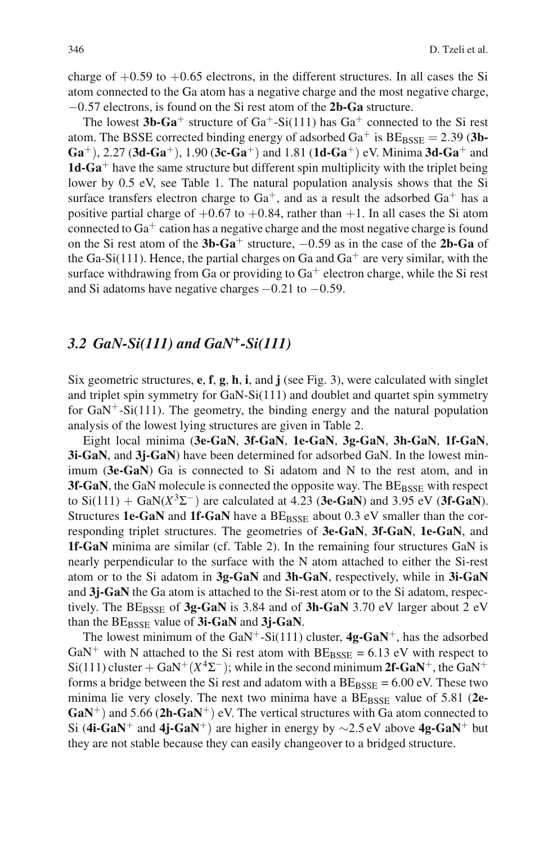charge of  $+0.59$  to  $+0.65$  electrons, in the different structures. In all cases the Si atom connected to the Ga atom has a negative charge and the most negative charge, −0.57 electrons, is found on the Si rest atom of the **2b-Ga** structure.

The lowest  $3b-Ga^+$  structure of  $Ga^+$ -Si(111) has  $Ga^+$  connected to the Si rest atom. The BSSE corrected binding energy of adsorbed  $Ga^+$  is  $BE_{BSSE} = 2.39$  (3b-**Ga**+), 2.27 (**3d-Ga**+), 1.90 (**3c-Ga**+) and 1.81 (**1d-Ga**+) eV. Minima **3d-Ga**<sup>+</sup> and **1d-Ga**<sup>+</sup> have the same structure but different spin multiplicity with the triplet being lower by 0.5 eV, see Table 1. The natural population analysis shows that the Si surface transfers electron charge to  $Ga^+$ , and as a result the adsorbed  $Ga^+$  has a positive partial charge of  $+0.67$  to  $+0.84$ , rather than  $+1$ . In all cases the Si atom connected to  $Ga<sup>+</sup>$  cation has a negative charge and the most negative charge is found on the Si rest atom of the **3b-Ga**<sup>+</sup> structure, <sup>−</sup>0.59 as in the case of the **2b-Ga** of the Ga-Si(111). Hence, the partial charges on Ga and  $Ga<sup>+</sup>$  are very similar, with the surface withdrawing from Ga or providing to  $Ga^+$  electron charge, while the Si rest and Si adatoms have negative charges  $-0.21$  to  $-0.59$ .

#### *3.2 GaN-Si(111) and GaN+-Si(111)*

Six geometric structures, **e**, **f**, **g**, **h**, **i**, and **j** (see Fig. 3), were calculated with singlet and triplet spin symmetry for GaN-Si(111) and doublet and quartet spin symmetry for  $GaN^+$ -Si(111). The geometry, the binding energy and the natural population analysis of the lowest lying structures are given in Table 2.

Eight local minima (**3e-GaN**, **3f-GaN**, **1e-GaN**, **3g-GaN**, **3h-GaN**, **1f-GaN**, **3i-GaN**, and **3j-GaN**) have been determined for adsorbed GaN. In the lowest minimum (**3e-GaN**) Ga is connected to Si adatom and N to the rest atom, and in **3f-GaN**, the GaN molecule is connected the opposite way. The BE<sub>BSSE</sub> with respect to Si(111) + GaN(*X*3Σ−) are calculated at 4.23 (**3e-GaN**) and 3.95 eV (**3f-GaN**). Structures **1e-GaN** and **1f-GaN** have a  $BE<sub>BSSE</sub>$  about 0.3 eV smaller than the corresponding triplet structures. The geometries of **3e-GaN**, **3f-GaN**, **1e-GaN**, and **1f-GaN** minima are similar (cf. Table 2). In the remaining four structures GaN is nearly perpendicular to the surface with the N atom attached to either the Si-rest atom or to the Si adatom in **3g-GaN** and **3h-GaN**, respectively, while in **3i-GaN** and **3j-GaN** the Ga atom is attached to the Si-rest atom or to the Si adatom, respectively. The  $BE_{BSSE}$  of  $3g-GaN$  is 3.84 and of  $3h-GaN$  3.70 eV larger about 2 eV than the BE<sub>BSSE</sub> value of 3i-GaN and 3j-GaN.

The lowest minimum of the GaN<sup>+</sup>-Si(111) cluster,  $4g-GaN^+$ , has the adsorbed GaN<sup>+</sup> with N attached to the Si rest atom with  $BE_{BSSE} = 6.13$  eV with respect to Si(111) cluster + GaN<sup>+</sup>( $X$ <sup>4</sup> $\Sigma$ <sup>-</sup>); while in the second minimum 2f-GaN<sup>+</sup>, the GaN<sup>+</sup> forms a bridge between the Si rest and adatom with a  $BE_{BSSE} = 6.00$  eV. These two minima lie very closely. The next two minima have a BE<sub>BSSE</sub> value of 5.81 (2e-**GaN**+) and 5.66 (**2h-GaN**+) eV. The vertical structures with Ga atom connected to Si (**4i-GaN**<sup>+</sup> and **4j-GaN**+) are higher in energy by <sup>∼</sup>2.5 eV above **4g-GaN**<sup>+</sup> but they are not stable because they can easily changeover to a bridged structure.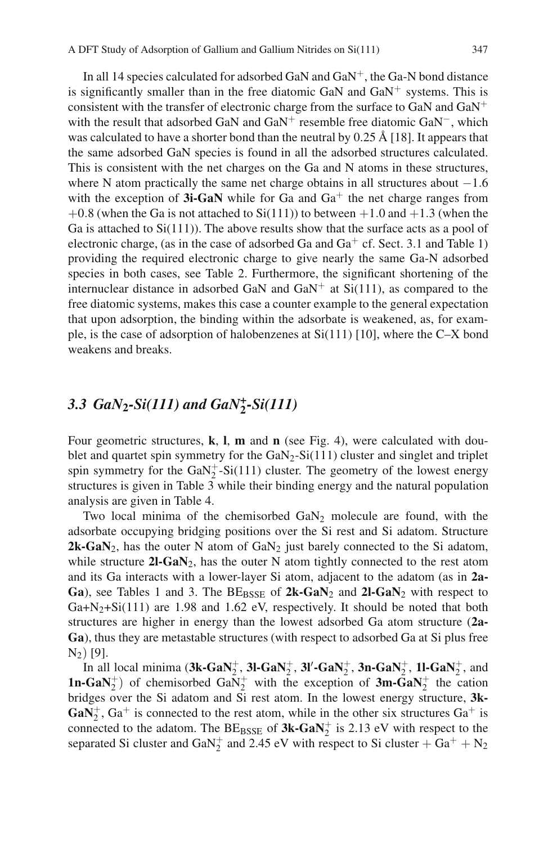In all 14 species calculated for adsorbed GaN and  $GaN^+$ , the Ga-N bond distance is significantly smaller than in the free diatomic GaN and  $GaN^+$  systems. This is consistent with the transfer of electronic charge from the surface to GaN and  $GaN^+$ with the result that adsorbed GaN and GaN<sup>+</sup> resemble free diatomic GaN<sup>-</sup>, which was calculated to have a shorter bond than the neutral by  $0.25 \text{ Å}$  [18]. It appears that the same adsorbed GaN species is found in all the adsorbed structures calculated. This is consistent with the net charges on the Ga and N atoms in these structures, where N atom practically the same net charge obtains in all structures about  $-1.6$ with the exception of  $3i-GaN$  while for Ga and  $Ga<sup>+</sup>$  the net charge ranges from  $+0.8$  (when the Ga is not attached to Si(111)) to between  $+1.0$  and  $+1.3$  (when the Ga is attached to  $Si(111)$ ). The above results show that the surface acts as a pool of electronic charge, (as in the case of adsorbed Ga and Ga<sup>+</sup> cf. Sect. 3.1 and Table 1) providing the required electronic charge to give nearly the same Ga-N adsorbed species in both cases, see Table 2. Furthermore, the significant shortening of the internuclear distance in adsorbed GaN and  $GaN^+$  at  $Si(111)$ , as compared to the free diatomic systems, makes this case a counter example to the general expectation that upon adsorption, the binding within the adsorbate is weakened, as, for example, is the case of adsorption of halobenzenes at  $Si(111)$  [10], where the C–X bond weakens and breaks.

# *3.3 GaN***2***-Si(111) and GaN+* **<sup>2</sup>***-Si(111)*

Four geometric structures, **k**, **l**, **m** and **n** (see Fig. 4), were calculated with doublet and quartet spin symmetry for the  $GaN_2-Si(111)$  cluster and singlet and triplet spin symmetry for the GaN<sup> $+$ </sup>-Si(111) cluster. The geometry of the lowest energy structures is given in Table 3 while their binding energy and the natural population analysis are given in Table 4.

Two local minima of the chemisorbed  $GaN<sub>2</sub>$  molecule are found, with the adsorbate occupying bridging positions over the Si rest and Si adatom. Structure **2k-GaN**<sub>2</sub>, has the outer N atom of  $GaN<sub>2</sub>$  just barely connected to the Si adatom, while structure **2l-GaN**2, has the outer N atom tightly connected to the rest atom and its Ga interacts with a lower-layer Si atom, adjacent to the adatom (as in **2a-Ga**), see Tables 1 and 3. The  $BE_{BSSE}$  of  $2k-GaN_2$  and  $2l-GaN_2$  with respect to Ga+N<sub>2</sub>+Si(111) are 1.98 and 1.62 eV, respectively. It should be noted that both structures are higher in energy than the lowest adsorbed Ga atom structure (**2a-Ga**), thus they are metastable structures (with respect to adsorbed Ga at Si plus free  $N_2)$  [9].

In all local minima  $(3k-GaN_2^+, 3l-GaN_2^+, 3l'-GaN_2^+, 3n-GaN_2^+, 1l-GaN_2^+,$  and **1n-GaN**<sup> $+$ </sup> of chemisorbed Ga $\bar{N}_2^+$  with the exception of **3m-GaN**<sup> $+$ </sup> the cation bridges over the Si adatom and Si rest atom. In the lowest energy structure, **3k-** $\text{GaN}_2^+$ ,  $\text{Ga}^+$  is connected to the rest atom, while in the other six structures  $\text{Ga}^+$  is connected to the adatom. The  $BE_{BSSE}$  of  $3k-GaN<sub>2</sub><sup>+</sup>$  is 2.13 eV with respect to the separated Si cluster and GaN<sub>2</sub><sup>+</sup> and 2.45 eV with respect to Si cluster +  $Ga^+$  + N<sub>2</sub>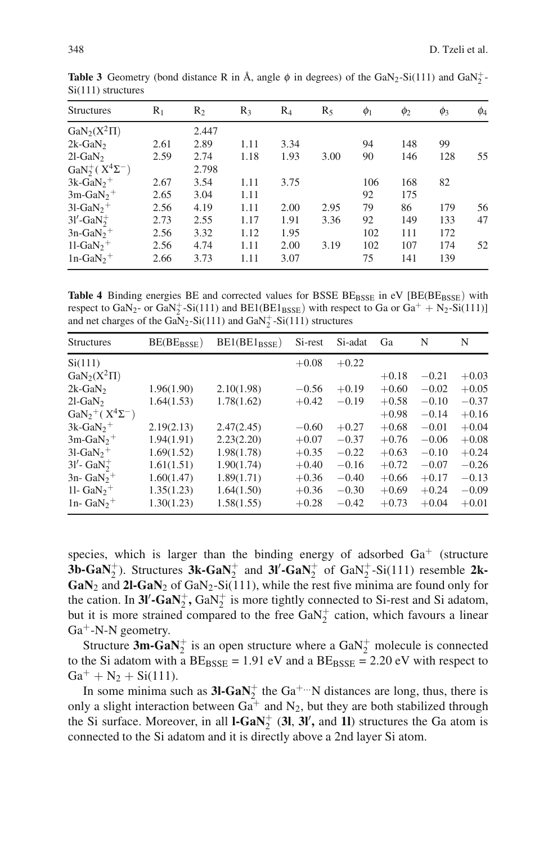| <b>Structures</b>                       | $R_1$ | R <sub>2</sub> | $R_3$ | $R_4$ | $R_5$ | $\phi_1$ | $\phi_2$ | $\phi_3$ | $\phi_4$ |
|-----------------------------------------|-------|----------------|-------|-------|-------|----------|----------|----------|----------|
| $GaN_2(X^2\Pi)$                         |       | 2.447          |       |       |       |          |          |          |          |
| $2k-GaN2$                               | 2.61  | 2.89           | 1.11  | 3.34  |       | 94       | 148      | 99       |          |
| $2l$ -GaN <sub>2</sub>                  | 2.59  | 2.74           | 1.18  | 1.93  | 3.00  | 90       | 146      | 128      | 55       |
| $\text{GaN}_2^+ (\text{ X}^4 \Sigma^-)$ |       | 2.798          |       |       |       |          |          |          |          |
| $3k-GaN_2$ <sup>+</sup>                 | 2.67  | 3.54           | 1.11  | 3.75  |       | 106      | 168      | 82       |          |
| $3m-GaN2$ <sup>+</sup>                  | 2.65  | 3.04           | 1.11  |       |       | 92       | 175      |          |          |
| $31-GaN2$ <sup>+</sup>                  | 2.56  | 4.19           | 1.11  | 2.00  | 2.95  | 79       | 86       | 179      | 56       |
| $3l'$ -GaN $_2^+$                       | 2.73  | 2.55           | 1.17  | 1.91  | 3.36  | 92       | 149      | 133      | 47       |
| $3n-GaN2$ <sup>+</sup>                  | 2.56  | 3.32           | 1.12  | 1.95  |       | 102      | 111      | 172      |          |
| $11-GaN2$ <sup>+</sup>                  | 2.56  | 4.74           | 1.11  | 2.00  | 3.19  | 102      | 107      | 174      | 52       |
| $1n-GaN_2$ <sup>+</sup>                 | 2.66  | 3.73           | 1.11  | 3.07  |       | 75       | 141      | 139      |          |

**Table 3** Geometry (bond distance R in Å, angle  $\phi$  in degrees) of the GaN<sub>2</sub>-Si(111) and GaN<sub>2</sub><sup>-</sup> Si(111) structures

**Table 4** Binding energies BE and corrected values for BSSE BE<sub>BSSE</sub> in eV [BE(BE<sub>BSSE</sub>) with respect to  $\text{GaN}_2$ - or  $\text{GaN}_2^+$ -Si(111) and  $\text{BE1}(\text{BE1}_{\text{BSSE}})$  with respect to  $\text{Ga}$  or  $\text{Ga}^+$  + N<sub>2</sub>-Si(111)] and net charges of the  $Ga\bar{N}_2$ -Si(111) and  $Ga\bar{N}_2^+$ -Si(111) structures

| <b>Structures</b>                       | BE(BE <sub>BSSE</sub> ) | $BE1(BE1_{BSSE})$ | Si-rest | Si-adat | Ga      | N       | N       |
|-----------------------------------------|-------------------------|-------------------|---------|---------|---------|---------|---------|
| Si(111)                                 |                         |                   | $+0.08$ | $+0.22$ |         |         |         |
| $\text{GaN}_2(X^2\Pi)$                  |                         |                   |         |         | $+0.18$ | $-0.21$ | $+0.03$ |
| $2k-GaN2$                               | 1.96(1.90)              | 2.10(1.98)        | $-0.56$ | $+0.19$ | $+0.60$ | $-0.02$ | $+0.05$ |
| $2l$ -GaN <sub>2</sub>                  | 1.64(1.53)              | 1.78(1.62)        | $+0.42$ | $-0.19$ | $+0.58$ | $-0.10$ | $-0.37$ |
| $\text{GaN}_2^+ (\text{ X}^4 \Sigma^-)$ |                         |                   |         |         | $+0.98$ | $-0.14$ | $+0.16$ |
| $3k-GaN_2$ <sup>+</sup>                 | 2.19(2.13)              | 2.47(2.45)        | $-0.60$ | $+0.27$ | $+0.68$ | $-0.01$ | $+0.04$ |
| $3m-GaN2$ <sup>+</sup>                  | 1.94(1.91)              | 2.23(2.20)        | $+0.07$ | $-0.37$ | $+0.76$ | $-0.06$ | $+0.08$ |
| $3l$ -GaN <sub>2</sub> <sup>+</sup>     | 1.69(1.52)              | 1.98(1.78)        | $+0.35$ | $-0.22$ | $+0.63$ | $-0.10$ | $+0.24$ |
| $31'$ - GaN $_2^+$                      | 1.61(1.51)              | 1.90(1.74)        | $+0.40$ | $-0.16$ | $+0.72$ | $-0.07$ | $-0.26$ |
| $3n - GaN2$ <sup>+</sup>                | 1.60(1.47)              | 1.89(1.71)        | $+0.36$ | $-0.40$ | $+0.66$ | $+0.17$ | $-0.13$ |
| 11- $GaN2$ <sup>+</sup>                 | 1.35(1.23)              | 1.64(1.50)        | $+0.36$ | $-0.30$ | $+0.69$ | $+0.24$ | $-0.09$ |
| 1n- $GaN_2$ <sup>+</sup>                | 1.30(1.23)              | 1.58(1.55)        | $+0.28$ | $-0.42$ | $+0.73$ | $+0.04$ | $+0.01$ |

species, which is larger than the binding energy of adsorbed  $Ga<sup>+</sup>$  (structure **3b-GaN**<sup> $+$ </sup>). Structures **3k-GaN**<sup> $+$ </sup> and **3l'-GaN**<sup> $+$ </sup> of GaN<sup> $+$ </sup>-Si(111) resemble **2k-** $GaN_2$  and  $2l-GaN_2$  of  $GaN_2-Si(111)$ , while the rest five minima are found only for the cation. In  $3l'$ - $GaN_2^+$ ,  $GaN_2^+$  is more tightly connected to Si-rest and Si adatom, but it is more strained compared to the free  $GaN_2^+$  cation, which favours a linear  $Ga^+$ -N-N geometry.

Structure  $3m-GaN<sub>2</sub><sup>+</sup>$  is an open structure where a  $GaN<sub>2</sub><sup>+</sup>$  molecule is connected to the Si adatom with a  $BE_{BSSE} = 1.91$  eV and a  $BE_{BSSE} = 2.20$  eV with respect to  $Ga^{+} + N_{2} + Si(111)$ .

In some minima such as  $3l$ - $GaN_2^+$  the  $Ga^{+...}N$  distances are long, thus, there is only a slight interaction between  $Ga^+$  and  $N_2$ , but they are both stabilized through the Si surface. Moreover, in all  $I-GaN<sub>2</sub><sup>+</sup>$  (3l, 3l', and 1l) structures the Ga atom is connected to the Si adatom and it is directly above a 2nd layer Si atom.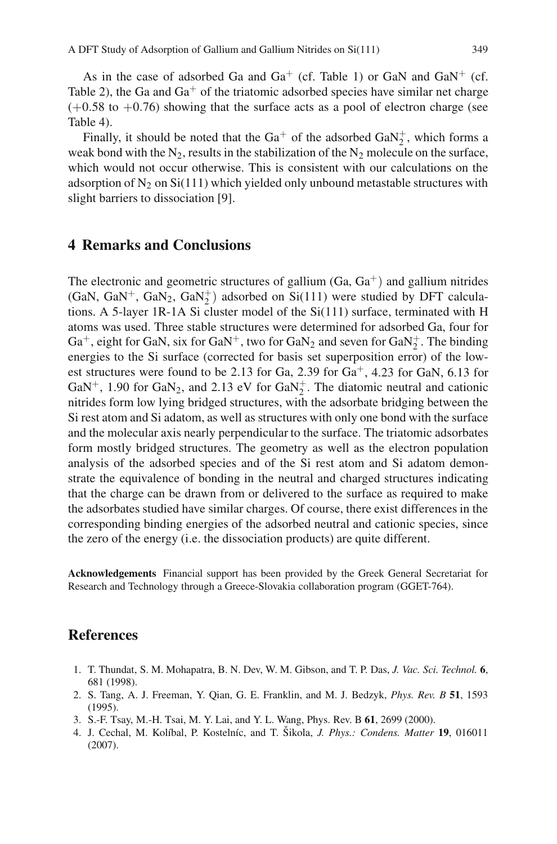As in the case of adsorbed Ga and  $Ga^+$  (cf. Table 1) or GaN and  $GaN^+$  (cf. Table 2), the Ga and  $Ga^+$  of the triatomic adsorbed species have similar net charge  $(+0.58 \text{ to } +0.76)$  showing that the surface acts as a pool of electron charge (see Table 4).

Finally, it should be noted that the  $Ga^+$  of the adsorbed  $GaN_2^+$ , which forms a weak bond with the  $N_2$ , results in the stabilization of the  $N_2$  molecule on the surface, which would not occur otherwise. This is consistent with our calculations on the adsorption of  $N_2$  on Si(111) which yielded only unbound metastable structures with slight barriers to dissociation [9].

#### **4 Remarks and Conclusions**

The electronic and geometric structures of gallium  $(Ga, Ga<sup>+</sup>)$  and gallium nitrides  $(GaN, GaN^{+}, GaN_{2}, GaN^{+}_{2})$  adsorbed on  $Si(111)$  were studied by DFT calculations. A 5-layer 1R-1A Si cluster model of the  $Si(111)$  surface, terminated with H atoms was used. Three stable structures were determined for adsorbed Ga, four for  $Ga<sup>+</sup>$ , eight for GaN, six for  $GaN<sup>+</sup>$ , two for  $GaN<sub>2</sub>$  and seven for  $GaN<sub>2</sub><sup>+</sup>$ . The binding energies to the Si surface (corrected for basis set superposition error) of the lowest structures were found to be 2.13 for Ga, 2.39 for  $Ga<sup>+</sup>$ , 4.23 for GaN, 6.13 for GaN<sup>+</sup>, 1.90 for GaN<sub>2</sub>, and 2.13 eV for GaN<sub>2</sub><sup>+</sup>. The diatomic neutral and cationic nitrides form low lying bridged structures, with the adsorbate bridging between the Si rest atom and Si adatom, as well as structures with only one bond with the surface and the molecular axis nearly perpendicular to the surface. The triatomic adsorbates form mostly bridged structures. The geometry as well as the electron population analysis of the adsorbed species and of the Si rest atom and Si adatom demonstrate the equivalence of bonding in the neutral and charged structures indicating that the charge can be drawn from or delivered to the surface as required to make the adsorbates studied have similar charges. Of course, there exist differences in the corresponding binding energies of the adsorbed neutral and cationic species, since the zero of the energy (i.e. the dissociation products) are quite different.

**Acknowledgements** Financial support has been provided by the Greek General Secretariat for Research and Technology through a Greece-Slovakia collaboration program (GGET-764).

### **References**

- 1. T. Thundat, S. M. Mohapatra, B. N. Dev, W. M. Gibson, and T. P. Das, *J. Vac. Sci. Technol.* **6**, 681 (1998).
- 2. S. Tang, A. J. Freeman, Y. Qian, G. E. Franklin, and M. J. Bedzyk, *Phys. Rev. B* **51**, 1593 (1995).
- 3. S.-F. Tsay, M.-H. Tsai, M. Y. Lai, and Y. L. Wang, Phys. Rev. B **61**, 2699 (2000).
- 4. J. Cechal, M. Kolíbal, P. Kostelníc, and T. Šikola, *J. Phys.: Condens. Matter* 19, 016011 (2007).